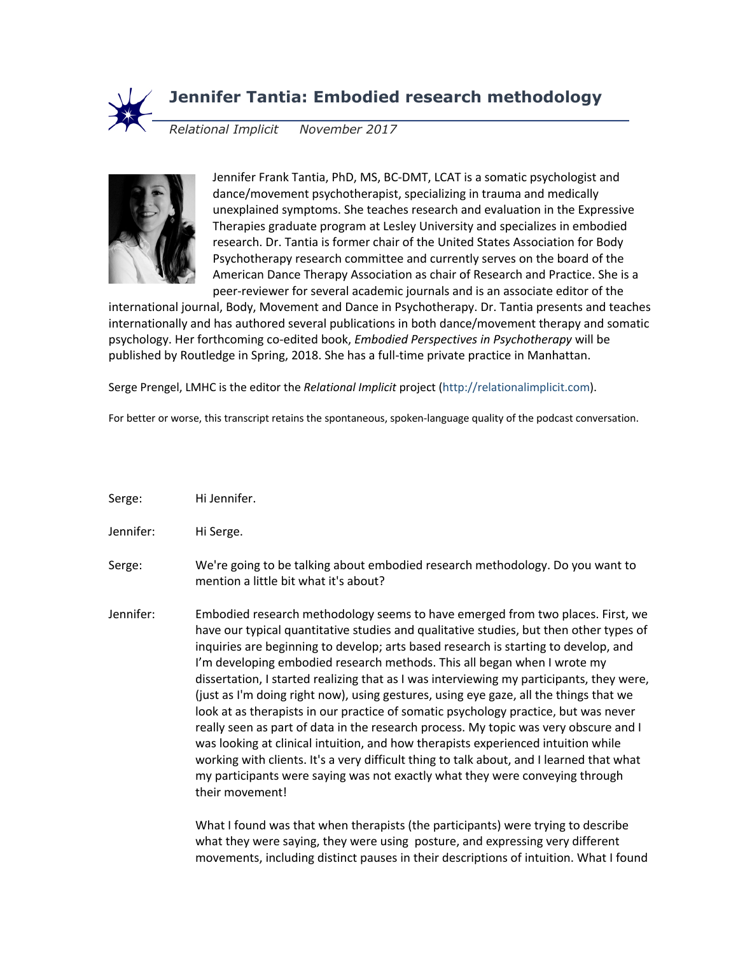

## **Jennifer Tantia: Embodied research methodology**

*Relational Implicit November 2017*



Jennifer Frank Tantia, PhD, MS, BC-DMT, LCAT is a somatic psychologist and dance/movement psychotherapist, specializing in trauma and medically unexplained symptoms. She teaches research and evaluation in the Expressive Therapies graduate program at Lesley University and specializes in embodied research. Dr. Tantia is former chair of the United States Association for Body Psychotherapy research committee and currently serves on the board of the American Dance Therapy Association as chair of Research and Practice. She is a peer-reviewer for several academic journals and is an associate editor of the

international journal, Body, Movement and Dance in Psychotherapy. Dr. Tantia presents and teaches internationally and has authored several publications in both dance/movement therapy and somatic psychology. Her forthcoming co-edited book, *Embodied Perspectives in Psychotherapy* will be published by Routledge in Spring, 2018. She has a full-time private practice in Manhattan.

Serge Prengel, LMHC is the editor the *Relational Implicit* project (http://relationalimplicit.com).

For better or worse, this transcript retains the spontaneous, spoken-language quality of the podcast conversation.

- Serge: Hi Jennifer.
- Jennifer: Hi Serge.
- Serge: We're going to be talking about embodied research methodology. Do you want to mention a little bit what it's about?
- Jennifer: Embodied research methodology seems to have emerged from two places. First, we have our typical quantitative studies and qualitative studies, but then other types of inquiries are beginning to develop; arts based research is starting to develop, and I'm developing embodied research methods. This all began when I wrote my dissertation, I started realizing that as I was interviewing my participants, they were, (just as I'm doing right now), using gestures, using eye gaze, all the things that we look at as therapists in our practice of somatic psychology practice, but was never really seen as part of data in the research process. My topic was very obscure and I was looking at clinical intuition, and how therapists experienced intuition while working with clients. It's a very difficult thing to talk about, and I learned that what my participants were saying was not exactly what they were conveying through their movement!

What I found was that when therapists (the participants) were trying to describe what they were saying, they were using posture, and expressing very different movements, including distinct pauses in their descriptions of intuition. What I found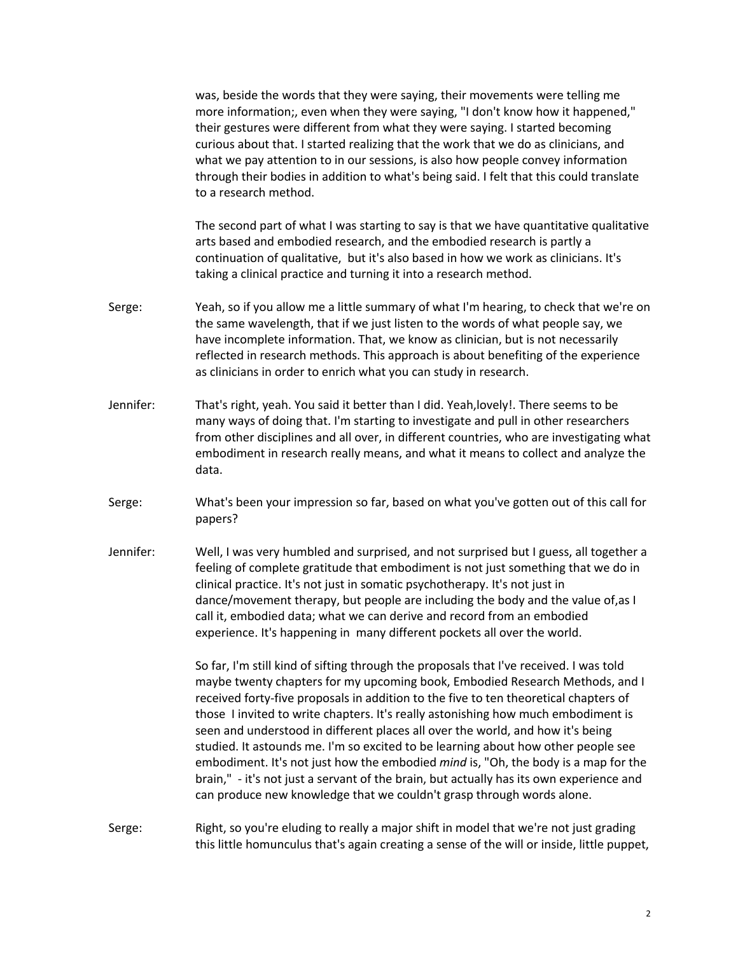was, beside the words that they were saying, their movements were telling me more information;, even when they were saying, "I don't know how it happened," their gestures were different from what they were saying. I started becoming curious about that. I started realizing that the work that we do as clinicians, and what we pay attention to in our sessions, is also how people convey information through their bodies in addition to what's being said. I felt that this could translate to a research method.

The second part of what I was starting to say is that we have quantitative qualitative arts based and embodied research, and the embodied research is partly a continuation of qualitative, but it's also based in how we work as clinicians. It's taking a clinical practice and turning it into a research method.

- Serge: Yeah, so if you allow me a little summary of what I'm hearing, to check that we're on the same wavelength, that if we just listen to the words of what people say, we have incomplete information. That, we know as clinician, but is not necessarily reflected in research methods. This approach is about benefiting of the experience as clinicians in order to enrich what you can study in research.
- Jennifer: That's right, yeah. You said it better than I did. Yeah,lovely!. There seems to be many ways of doing that. I'm starting to investigate and pull in other researchers from other disciplines and all over, in different countries, who are investigating what embodiment in research really means, and what it means to collect and analyze the data.
- Serge: What's been your impression so far, based on what you've gotten out of this call for papers?
- Jennifer: Well, I was very humbled and surprised, and not surprised but I guess, all together a feeling of complete gratitude that embodiment is not just something that we do in clinical practice. It's not just in somatic psychotherapy. It's not just in dance/movement therapy, but people are including the body and the value of,as I call it, embodied data; what we can derive and record from an embodied experience. It's happening in many different pockets all over the world.

So far, I'm still kind of sifting through the proposals that I've received. I was told maybe twenty chapters for my upcoming book, Embodied Research Methods, and I received forty-five proposals in addition to the five to ten theoretical chapters of those I invited to write chapters. It's really astonishing how much embodiment is seen and understood in different places all over the world, and how it's being studied. It astounds me. I'm so excited to be learning about how other people see embodiment. It's not just how the embodied *mind* is, "Oh, the body is a map for the brain," - it's not just a servant of the brain, but actually has its own experience and can produce new knowledge that we couldn't grasp through words alone.

## Serge: Right, so you're eluding to really a major shift in model that we're not just grading this little homunculus that's again creating a sense of the will or inside, little puppet,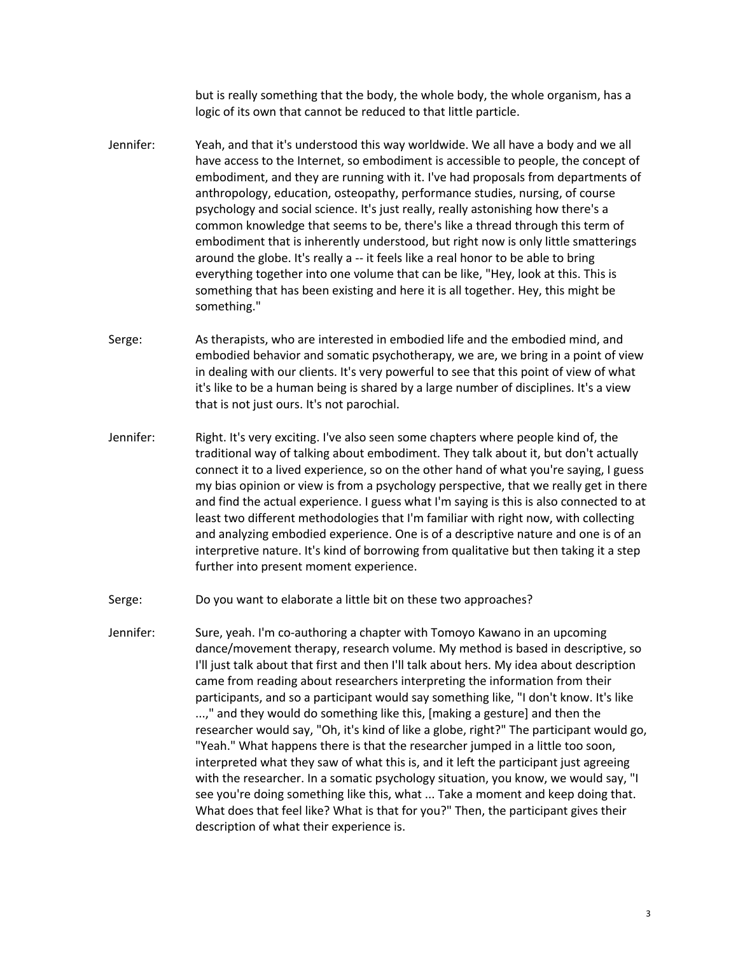but is really something that the body, the whole body, the whole organism, has a logic of its own that cannot be reduced to that little particle.

- Jennifer: Yeah, and that it's understood this way worldwide. We all have a body and we all have access to the Internet, so embodiment is accessible to people, the concept of embodiment, and they are running with it. I've had proposals from departments of anthropology, education, osteopathy, performance studies, nursing, of course psychology and social science. It's just really, really astonishing how there's a common knowledge that seems to be, there's like a thread through this term of embodiment that is inherently understood, but right now is only little smatterings around the globe. It's really a -- it feels like a real honor to be able to bring everything together into one volume that can be like, "Hey, look at this. This is something that has been existing and here it is all together. Hey, this might be something."
- Serge: As therapists, who are interested in embodied life and the embodied mind, and embodied behavior and somatic psychotherapy, we are, we bring in a point of view in dealing with our clients. It's very powerful to see that this point of view of what it's like to be a human being is shared by a large number of disciplines. It's a view that is not just ours. It's not parochial.
- Jennifer: Right. It's very exciting. I've also seen some chapters where people kind of, the traditional way of talking about embodiment. They talk about it, but don't actually connect it to a lived experience, so on the other hand of what you're saying, I guess my bias opinion or view is from a psychology perspective, that we really get in there and find the actual experience. I guess what I'm saying is this is also connected to at least two different methodologies that I'm familiar with right now, with collecting and analyzing embodied experience. One is of a descriptive nature and one is of an interpretive nature. It's kind of borrowing from qualitative but then taking it a step further into present moment experience.
- Serge: Do you want to elaborate a little bit on these two approaches?
- Jennifer: Sure, yeah. I'm co-authoring a chapter with Tomoyo Kawano in an upcoming dance/movement therapy, research volume. My method is based in descriptive, so I'll just talk about that first and then I'll talk about hers. My idea about description came from reading about researchers interpreting the information from their participants, and so a participant would say something like, "I don't know. It's like ...," and they would do something like this, [making a gesture] and then the researcher would say, "Oh, it's kind of like a globe, right?" The participant would go, "Yeah." What happens there is that the researcher jumped in a little too soon, interpreted what they saw of what this is, and it left the participant just agreeing with the researcher. In a somatic psychology situation, you know, we would say, "I see you're doing something like this, what ... Take a moment and keep doing that. What does that feel like? What is that for you?" Then, the participant gives their description of what their experience is.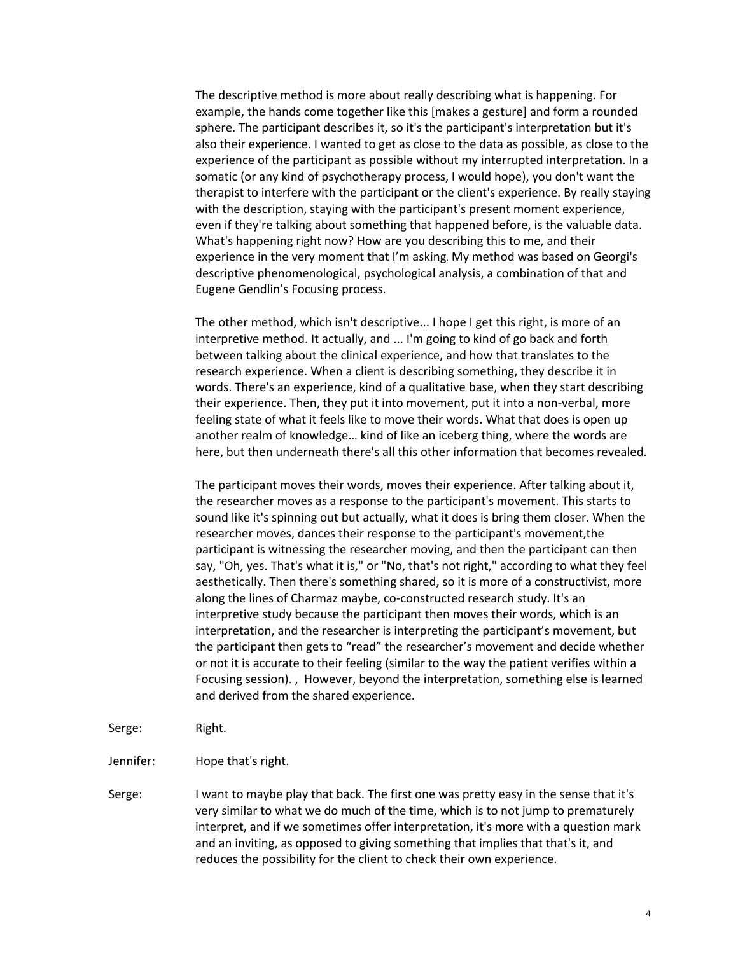The descriptive method is more about really describing what is happening. For example, the hands come together like this [makes a gesture] and form a rounded sphere. The participant describes it, so it's the participant's interpretation but it's also their experience. I wanted to get as close to the data as possible, as close to the experience of the participant as possible without my interrupted interpretation. In a somatic (or any kind of psychotherapy process, I would hope), you don't want the therapist to interfere with the participant or the client's experience. By really staying with the description, staying with the participant's present moment experience, even if they're talking about something that happened before, is the valuable data. What's happening right now? How are you describing this to me, and their experience in the very moment that I'm asking. My method was based on Georgi's descriptive phenomenological, psychological analysis, a combination of that and Eugene Gendlin's Focusing process.

The other method, which isn't descriptive... I hope I get this right, is more of an interpretive method. It actually, and ... I'm going to kind of go back and forth between talking about the clinical experience, and how that translates to the research experience. When a client is describing something, they describe it in words. There's an experience, kind of a qualitative base, when they start describing their experience. Then, they put it into movement, put it into a non-verbal, more feeling state of what it feels like to move their words. What that does is open up another realm of knowledge… kind of like an iceberg thing, where the words are here, but then underneath there's all this other information that becomes revealed.

The participant moves their words, moves their experience. After talking about it, the researcher moves as a response to the participant's movement. This starts to sound like it's spinning out but actually, what it does is bring them closer. When the researcher moves, dances their response to the participant's movement,the participant is witnessing the researcher moving, and then the participant can then say, "Oh, yes. That's what it is," or "No, that's not right," according to what they feel aesthetically. Then there's something shared, so it is more of a constructivist, more along the lines of Charmaz maybe, co-constructed research study. It's an interpretive study because the participant then moves their words, which is an interpretation, and the researcher is interpreting the participant's movement, but the participant then gets to "read" the researcher's movement and decide whether or not it is accurate to their feeling (similar to the way the patient verifies within a Focusing session). , However, beyond the interpretation, something else is learned and derived from the shared experience.

- Serge: Right.
- Jennifer: Hope that's right.
- Serge: I want to maybe play that back. The first one was pretty easy in the sense that it's very similar to what we do much of the time, which is to not jump to prematurely interpret, and if we sometimes offer interpretation, it's more with a question mark and an inviting, as opposed to giving something that implies that that's it, and reduces the possibility for the client to check their own experience.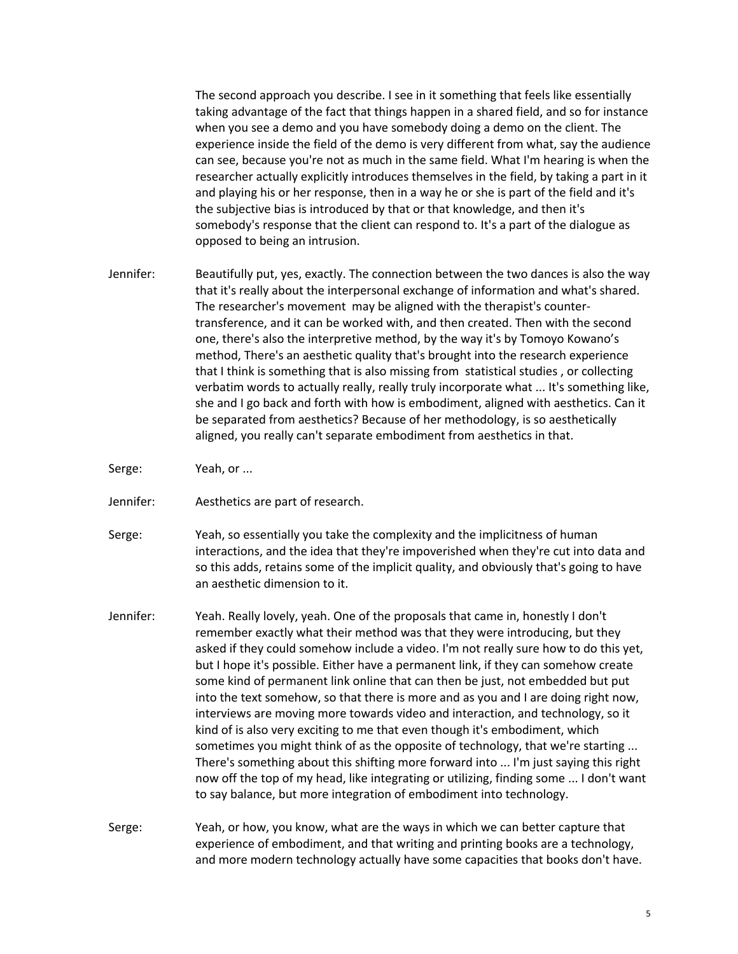The second approach you describe. I see in it something that feels like essentially taking advantage of the fact that things happen in a shared field, and so for instance when you see a demo and you have somebody doing a demo on the client. The experience inside the field of the demo is very different from what, say the audience can see, because you're not as much in the same field. What I'm hearing is when the researcher actually explicitly introduces themselves in the field, by taking a part in it and playing his or her response, then in a way he or she is part of the field and it's the subjective bias is introduced by that or that knowledge, and then it's somebody's response that the client can respond to. It's a part of the dialogue as opposed to being an intrusion.

- Jennifer: Beautifully put, yes, exactly. The connection between the two dances is also the way that it's really about the interpersonal exchange of information and what's shared. The researcher's movement may be aligned with the therapist's countertransference, and it can be worked with, and then created. Then with the second one, there's also the interpretive method, by the way it's by Tomoyo Kowano's method, There's an aesthetic quality that's brought into the research experience that I think is something that is also missing from statistical studies , or collecting verbatim words to actually really, really truly incorporate what ... It's something like, she and I go back and forth with how is embodiment, aligned with aesthetics. Can it be separated from aesthetics? Because of her methodology, is so aesthetically aligned, you really can't separate embodiment from aesthetics in that.
- Serge: Yeah, or ...
- Jennifer: Aesthetics are part of research.
- Serge: Yeah, so essentially you take the complexity and the implicitness of human interactions, and the idea that they're impoverished when they're cut into data and so this adds, retains some of the implicit quality, and obviously that's going to have an aesthetic dimension to it.
- Jennifer: Yeah. Really lovely, yeah. One of the proposals that came in, honestly I don't remember exactly what their method was that they were introducing, but they asked if they could somehow include a video. I'm not really sure how to do this yet, but I hope it's possible. Either have a permanent link, if they can somehow create some kind of permanent link online that can then be just, not embedded but put into the text somehow, so that there is more and as you and I are doing right now, interviews are moving more towards video and interaction, and technology, so it kind of is also very exciting to me that even though it's embodiment, which sometimes you might think of as the opposite of technology, that we're starting ... There's something about this shifting more forward into ... I'm just saying this right now off the top of my head, like integrating or utilizing, finding some ... I don't want to say balance, but more integration of embodiment into technology.
- Serge: Yeah, or how, you know, what are the ways in which we can better capture that experience of embodiment, and that writing and printing books are a technology, and more modern technology actually have some capacities that books don't have.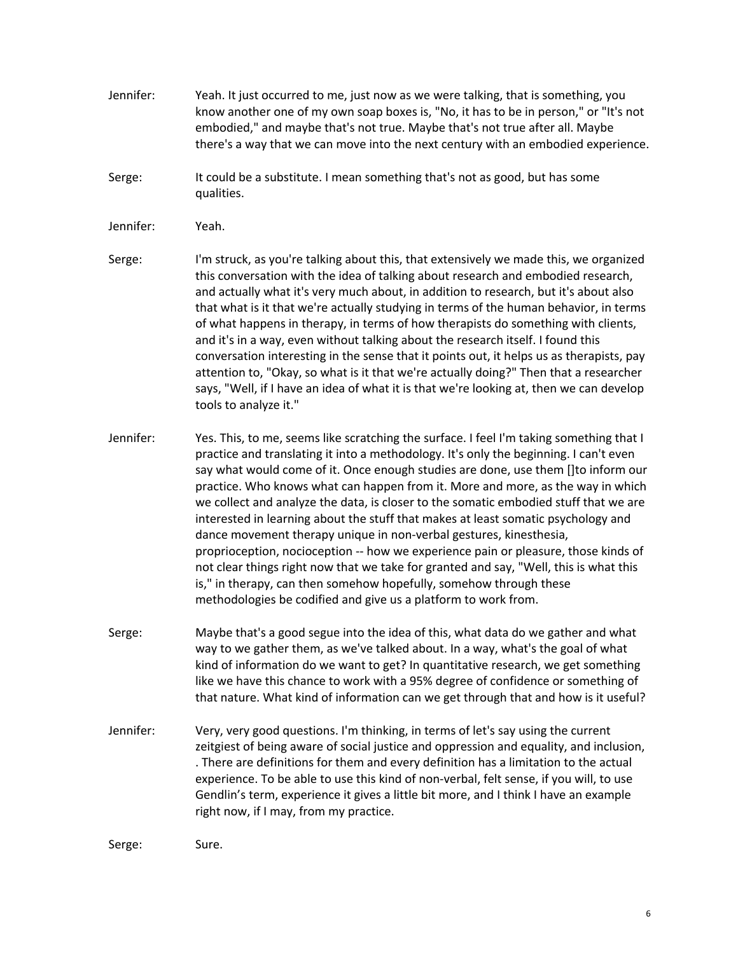- Jennifer: Yeah. It just occurred to me, just now as we were talking, that is something, you know another one of my own soap boxes is, "No, it has to be in person," or "It's not embodied," and maybe that's not true. Maybe that's not true after all. Maybe there's a way that we can move into the next century with an embodied experience.
- Serge: It could be a substitute. I mean something that's not as good, but has some qualities.
- Jennifer: Yeah.
- Serge: I'm struck, as you're talking about this, that extensively we made this, we organized this conversation with the idea of talking about research and embodied research, and actually what it's very much about, in addition to research, but it's about also that what is it that we're actually studying in terms of the human behavior, in terms of what happens in therapy, in terms of how therapists do something with clients, and it's in a way, even without talking about the research itself. I found this conversation interesting in the sense that it points out, it helps us as therapists, pay attention to, "Okay, so what is it that we're actually doing?" Then that a researcher says, "Well, if I have an idea of what it is that we're looking at, then we can develop tools to analyze it."
- Jennifer: Yes. This, to me, seems like scratching the surface. I feel I'm taking something that I practice and translating it into a methodology. It's only the beginning. I can't even say what would come of it. Once enough studies are done, use them []to inform our practice. Who knows what can happen from it. More and more, as the way in which we collect and analyze the data, is closer to the somatic embodied stuff that we are interested in learning about the stuff that makes at least somatic psychology and dance movement therapy unique in non-verbal gestures, kinesthesia, proprioception, nocioception -- how we experience pain or pleasure, those kinds of not clear things right now that we take for granted and say, "Well, this is what this is," in therapy, can then somehow hopefully, somehow through these methodologies be codified and give us a platform to work from.
- Serge: Maybe that's a good segue into the idea of this, what data do we gather and what way to we gather them, as we've talked about. In a way, what's the goal of what kind of information do we want to get? In quantitative research, we get something like we have this chance to work with a 95% degree of confidence or something of that nature. What kind of information can we get through that and how is it useful?
- Jennifer: Very, very good questions. I'm thinking, in terms of let's say using the current zeitgiest of being aware of social justice and oppression and equality, and inclusion, . There are definitions for them and every definition has a limitation to the actual experience. To be able to use this kind of non-verbal, felt sense, if you will, to use Gendlin's term, experience it gives a little bit more, and I think I have an example right now, if I may, from my practice.

Serge: Sure.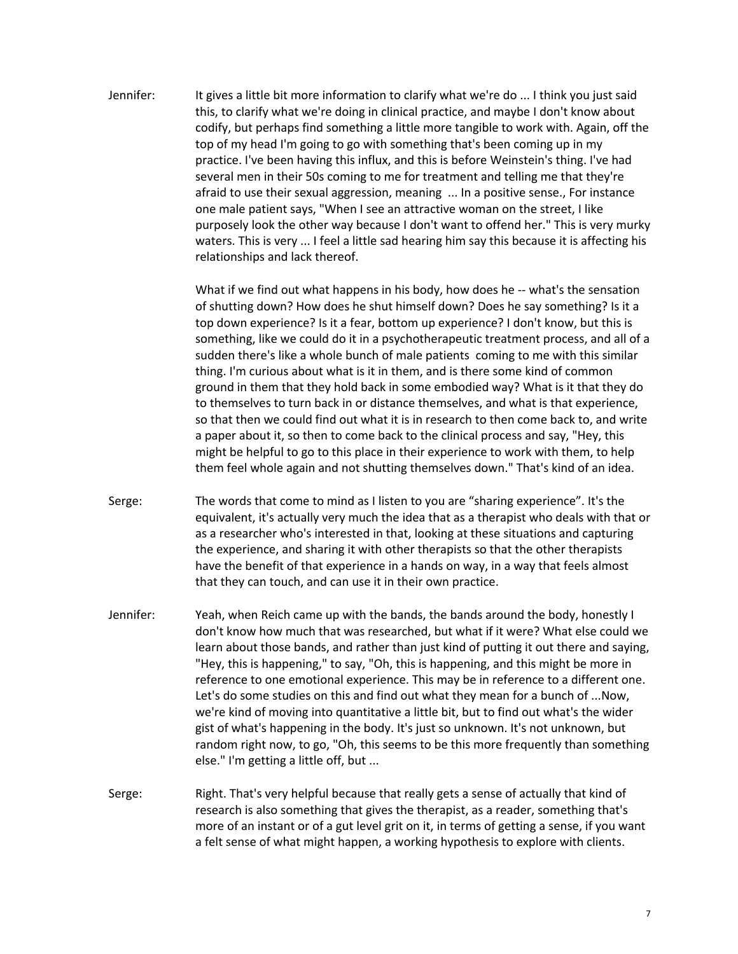Jennifer: It gives a little bit more information to clarify what we're do ... I think you just said this, to clarify what we're doing in clinical practice, and maybe I don't know about codify, but perhaps find something a little more tangible to work with. Again, off the top of my head I'm going to go with something that's been coming up in my practice. I've been having this influx, and this is before Weinstein's thing. I've had several men in their 50s coming to me for treatment and telling me that they're afraid to use their sexual aggression, meaning ... In a positive sense., For instance one male patient says, "When I see an attractive woman on the street, I like purposely look the other way because I don't want to offend her." This is very murky waters. This is very ... I feel a little sad hearing him say this because it is affecting his relationships and lack thereof.

> What if we find out what happens in his body, how does he -- what's the sensation of shutting down? How does he shut himself down? Does he say something? Is it a top down experience? Is it a fear, bottom up experience? I don't know, but this is something, like we could do it in a psychotherapeutic treatment process, and all of a sudden there's like a whole bunch of male patients coming to me with this similar thing. I'm curious about what is it in them, and is there some kind of common ground in them that they hold back in some embodied way? What is it that they do to themselves to turn back in or distance themselves, and what is that experience, so that then we could find out what it is in research to then come back to, and write a paper about it, so then to come back to the clinical process and say, "Hey, this might be helpful to go to this place in their experience to work with them, to help them feel whole again and not shutting themselves down." That's kind of an idea.

- Serge: The words that come to mind as I listen to you are "sharing experience". It's the equivalent, it's actually very much the idea that as a therapist who deals with that or as a researcher who's interested in that, looking at these situations and capturing the experience, and sharing it with other therapists so that the other therapists have the benefit of that experience in a hands on way, in a way that feels almost that they can touch, and can use it in their own practice.
- Jennifer: Yeah, when Reich came up with the bands, the bands around the body, honestly I don't know how much that was researched, but what if it were? What else could we learn about those bands, and rather than just kind of putting it out there and saying, "Hey, this is happening," to say, "Oh, this is happening, and this might be more in reference to one emotional experience. This may be in reference to a different one. Let's do some studies on this and find out what they mean for a bunch of ...Now, we're kind of moving into quantitative a little bit, but to find out what's the wider gist of what's happening in the body. It's just so unknown. It's not unknown, but random right now, to go, "Oh, this seems to be this more frequently than something else." I'm getting a little off, but ...
- Serge: Right. That's very helpful because that really gets a sense of actually that kind of research is also something that gives the therapist, as a reader, something that's more of an instant or of a gut level grit on it, in terms of getting a sense, if you want a felt sense of what might happen, a working hypothesis to explore with clients.